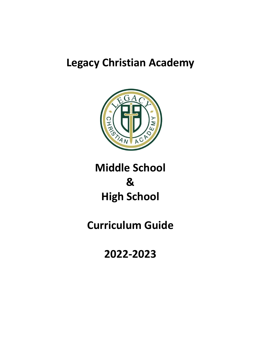# **Legacy Christian Academy**



# **Middle School & High School**

# **Curriculum Guide**

**2022-2023**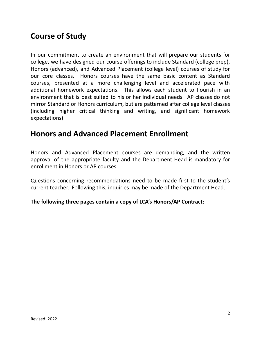# **Course of Study**

In our commitment to create an environment that will prepare our students for college, we have designed our course offerings to include Standard (college prep), Honors (advanced), and Advanced Placement (college level) courses of study for our core classes. Honors courses have the same basic content as Standard courses, presented at a more challenging level and accelerated pace with additional homework expectations. This allows each student to flourish in an environment that is best suited to his or her individual needs. AP classes do not mirror Standard or Honors curriculum, but are patterned after college level classes (including higher critical thinking and writing, and significant homework expectations).

# **Honors and Advanced Placement Enrollment**

Honors and Advanced Placement courses are demanding, and the written approval of the appropriate faculty and the Department Head is mandatory for enrollment in Honors or AP courses.

Questions concerning recommendations need to be made first to the student's current teacher. Following this, inquiries may be made of the Department Head.

#### **The following three pages contain a copy of LCA's Honors/AP Contract:**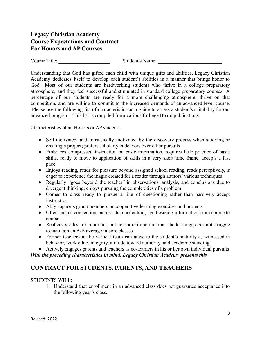#### **Legacy Christian Academy Course Expectations and Contract For Honors and AP Courses**

Course Title: Student's Name:

Understanding that God has gifted each child with unique gifts and abilities, Legacy Christian Academy dedicates itself to develop each student's abilities in a manner that brings honor to God. Most of our students are hardworking students who thrive in a college preparatory atmosphere, and they feel successful and stimulated in standard college preparatory courses. A percentage of our students are ready for a more challenging atmosphere, thrive on that competition, and are willing to commit to the increased demands of an advanced level course. Please use the following list of characteristics as a guide to assess a student's suitability for our advanced program. This list is compiled from various College Board publications.

#### Characteristics of an Honors or AP student:

- Self-motivated, and intrinsically motivated by the discovery process when studying or creating a project; prefers scholarly endeavors over other pursuits
- Embraces compressed instruction on basic information, requires little practice of basic skills, ready to move to application of skills in a very short time frame, accepts a fast pace
- Enjoys reading, reads for pleasure beyond assigned school reading, reads perceptively, is eager to experience the magic created for a reader through authors' various techniques
- Regularly "goes beyond the teacher" in observations, analysis, and conclusions due to divergent thinking; enjoys pursuing the complexities of a problem
- Comes to class ready to pursue a line of questioning rather than passively accept instruction
- Ably supports group members in cooperative learning exercises and projects
- Often makes connections across the curriculum, synthesizing information from course to course
- Realizes grades are important, but not more important than the learning; does not struggle to maintain an A/B average in core classes
- Former teachers in the vertical team can attest to the student's maturity as witnessed in behavior, work ethic, integrity, attitude toward authority, and academic standing

● Actively engages parents and teachers as co-learners in his or her own individual pursuits

*With the preceding characteristics in mind, Legacy Christian Academy presents this*

### **CONTRACT FOR STUDENTS, PARENTS, AND TEACHERS**

#### STUDENTS WILL:

1. Understand that enrollment in an advanced class does not guarantee acceptance into the following year's class.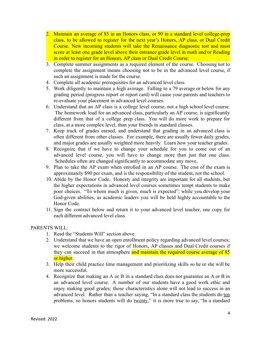- 2. Maintain an average of 85 in an Honors class, or 90 in a standard level college-prep class, to be allowed to register for the next year's Honors, AP class, or Dual Credit Course. New incoming students will take the Renaissance diagnostic test and must score at least one grade level above their entrance grade level in math and/or Reading in order to register for an Honors, AP class or Dual Credit Course.
- 3. Complete summer assignments as a required element of the course. Choosing not to complete the assignment means choosing not to be in the advanced level course, if such an assignment is made for the course.
- 4. Complete all academic prerequisites for an advanced level class.
- 5. Work diligently to maintain a high average. Falling to a 79 average or below for any grading period (progress report or report card) will cause your parents and teachers to re-evaluate your placement in advanced level courses.
- 6. Understand that an AP class is a college level course, not a high school level course. The homework load for an advanced class, particularly an AP course, is significantly different from that of a college prep class. You will do more work to prepare for class, at a more complex level, than your friends in standard classes.
- 7. Keep track of grades earned, and understand that grading in an advanced class is often different from other classes. For example, there are usually fewer daily grades, and major grades are usually weighted more heavily. Learn how your teacher grades.
- 8. Recognize that if we have to change your schedule for you to come out of an advanced level course, you will have to change more than just that one class. Schedules often are changed significantly to accommodate any move.
- 9. Plan to take the AP exam when enrolled in an AP course. The cost of the exam is approximately \$90 per exam, and is the responsibility of the student, not the school.
- 10. Abide by the Honor Code. Honesty and integrity are important for all students, but the higher expectations in advanced level courses sometimes tempt students to make poor choices. "To whom much is given, much is expected"; while you develop your God-given abilities, as academic leaders you will be held highly accountable to the Honor Code.
- 11. Sign the contract below and return it to your advanced level teacher, one copy for each different advanced level class.

#### PARENTS WILL:

- 1. Read the "Students Will" section above.
- 2. Understand that we have an open enrollment policy regarding advanced level courses; we welcome students to the rigor of Honors, AP classes and Dual Credit courses if they can succeed in that atmosphere and maintain the required course average of 85 or higher.
- 3. Help their child practice time management and prioritizing skills so he or she will be more successful.
- 4. Recognize that making an A or B in a standard class does not guarantee an A or B in an advanced level course. A number of our students have a good work ethic and enjoy making good grades; those characteristics alone will not lead to success in an advanced level. Rather than a teacher saying, "In a standard class the students do ten problems, so honors students will do twenty," it is more true to say, "In a standard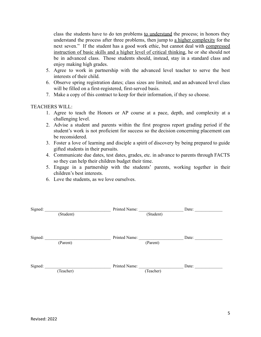class the students have to do ten problems to understand the process; in honors they understand the process after three problems, then jump to a higher complexity for the next seven." If the student has a good work ethic, but cannot deal with compressed instruction of basic skills and a higher level of critical thinking, he or she should not be in advanced class. Those students should, instead, stay in a standard class and enjoy making high grades.

- 5. Agree to work in partnership with the advanced level teacher to serve the best interests of their child.
- 6. Observe spring registration dates; class sizes are limited, and an advanced level class will be filled on a first-registered, first-served basis.
- 7. Make a copy of this contract to keep for their information, if they so choose.

#### TEACHERS WILL:

- 1. Agree to teach the Honors or AP course at a pace, depth, and complexity at a challenging level.
- 2. Advise a student and parents within the first progress report grading period if the student's work is not proficient for success so the decision concerning placement can be reconsidered.
- 3. Foster a love of learning and disciple a spirit of discovery by being prepared to guide gifted students in their pursuits.
- 4. Communicate due dates, test dates, grades, etc. in advance to parents through FACTS so they can help their children budget their time.
- 5. Engage in a partnership with the students' parents, working together in their children's best interests.
- 6. Love the students, as we love ourselves.

| Signed: |           | Printed Name: |           | Date: |
|---------|-----------|---------------|-----------|-------|
|         | (Student) |               | (Student) |       |
| Signed: | (Parent)  | Printed Name: | (Parent)  | Date: |
| Signed: | (Teacher) | Printed Name: | (Teacher) | Date: |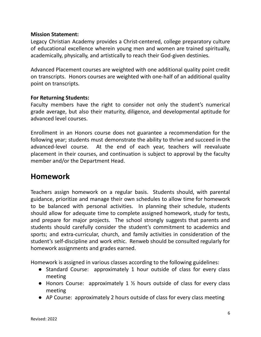#### **Mission Statement:**

Legacy Christian Academy provides a Christ-centered, college preparatory culture of educational excellence wherein young men and women are trained spiritually, academically, physically, and artistically to reach their God-given destinies*.*

Advanced Placement courses are weighted with one additional quality point credit on transcripts. Honors courses are weighted with one-half of an additional quality point on transcripts.

#### **For Returning Students:**

Faculty members have the right to consider not only the student's numerical grade average, but also their maturity, diligence, and developmental aptitude for advanced level courses.

Enrollment in an Honors course does not guarantee a recommendation for the following year; students must demonstrate the ability to thrive and succeed in the advanced-level course. At the end of each year, teachers will reevaluate placement in their courses, and continuation is subject to approval by the faculty member and/or the Department Head.

# **Homework**

Teachers assign homework on a regular basis. Students should, with parental guidance, prioritize and manage their own schedules to allow time for homework to be balanced with personal activities. In planning their schedule, students should allow for adequate time to complete assigned homework, study for tests, and prepare for major projects. The school strongly suggests that parents and students should carefully consider the student's commitment to academics and sports; and extra-curricular, church, and family activities in consideration of the student's self-discipline and work ethic. Renweb should be consulted regularly for homework assignments and grades earned.

Homework is assigned in various classes according to the following guidelines:

- Standard Course: approximately 1 hour outside of class for every class meeting
- Honors Course: approximately 1 ½ hours outside of class for every class meeting
- AP Course: approximately 2 hours outside of class for every class meeting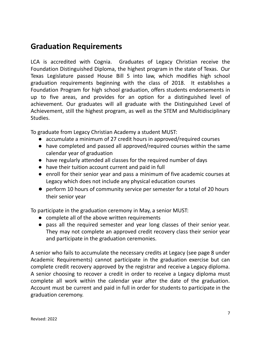# **Graduation Requirements**

LCA is accredited with Cognia. Graduates of Legacy Christian receive the Foundation Distinguished Diploma, the highest program in the state of Texas. Our Texas Legislature passed House Bill 5 into law, which modifies high school graduation requirements beginning with the class of 2018. It establishes a Foundation Program for high school graduation, offers students endorsements in up to five areas, and provides for an option for a distinguished level of achievement. Our graduates will all graduate with the Distinguished Level of Achievement, still the highest program, as well as the STEM and Multidisciplinary Studies.

To graduate from Legacy Christian Academy a student MUST:

- accumulate a minimum of 27 credit hours in approved/required courses
- have completed and passed all approved/required courses within the same calendar year of graduation
- have regularly attended all classes for the required number of days
- have their tuition account current and paid in full
- enroll for their senior year and pass a minimum of five academic courses at Legacy which does not include any physical education courses
- perform 10 hours of community service per semester for a total of 20 hours their senior year

To participate in the graduation ceremony in May, a senior MUST:

- complete all of the above written requirements
- pass all the required semester and year long classes of their senior year. They may not complete an approved credit recovery class their senior year and participate in the graduation ceremonies.

A senior who fails to accumulate the necessary credits at Legacy (see page 8 under Academic Requirements) cannot participate in the graduation exercise but can complete credit recovery approved by the registrar and receive a Legacy diploma. A senior choosing to recover a credit in order to receive a Legacy diploma must complete all work within the calendar year after the date of the graduation. Account must be current and paid in full in order for students to participate in the graduation ceremony.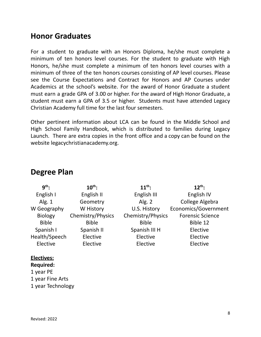# **Honor Graduates**

For a student to graduate with an Honors Diploma, he/she must complete a minimum of ten honors level courses. For the student to graduate with High Honors, he/she must complete a minimum of ten honors level courses with a minimum of three of the ten honors courses consisting of AP level courses. Please see the Course Expectations and Contract for Honors and AP Courses under Academics at the school's website. For the award of Honor Graduate a student must earn a grade GPA of 3.00 or higher. For the award of High Honor Graduate, a student must earn a GPA of 3.5 or higher. Students must have attended Legacy Christian Academy full time for the last four semesters.

Other pertinent information about LCA can be found in the Middle School and High School Family Handbook, which is distributed to families during Legacy Launch. There are extra copies in the front office and a copy can be found on the website legacychristianacademy.org.

| $9th$ :        | $10^{th}$ :       | $11^{th}$ :       | $12^{th}$ :             |
|----------------|-------------------|-------------------|-------------------------|
| English I      | English II        | English III       | English IV              |
| Alg. $1$       | Geometry          | Alg. $2$          | College Algebra         |
| W Geography    | W History         | U.S. History      | Economics/Government    |
| <b>Biology</b> | Chemistry/Physics | Chemistry/Physics | <b>Forensic Science</b> |
| <b>Bible</b>   | <b>Bible</b>      | <b>Bible</b>      | Bible 12                |
| Spanish I      | Spanish II        | Spanish III H     | Elective                |
| Health/Speech  | Elective          | Elective          | Elective                |
| Elective       | Elective          | Elective          | Elective                |
|                |                   |                   |                         |

# **Degree Plan**

#### **Electives:**

**Required:** 1 year PE 1 year Fine Arts

1 year Technology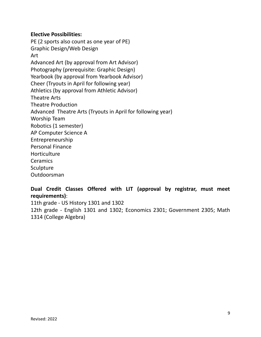#### **Elective Possibilities:**

PE (2 sports also count as one year of PE) Graphic Design/Web Design Art Advanced Art (by approval from Art Advisor) Photography (prerequisite: Graphic Design) Yearbook (by approval from Yearbook Advisor) Cheer (Tryouts in April for following year) Athletics (by approval from Athletic Advisor) Theatre Arts Theatre Production Advanced Theatre Arts (Tryouts in April for following year) Worship Team Robotics (1 semester) AP Computer Science A Entrepreneurship Personal Finance **Horticulture** Ceramics Sculpture Outdoorsman

#### **Dual Credit Classes Offered with LIT (approval by registrar, must meet requirements)**:

11th grade - US History 1301 and 1302 12th grade - English 1301 and 1302; Economics 2301; Government 2305; Math 1314 (College Algebra)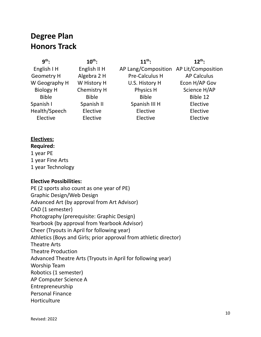# **Degree Plan Honors Track**

| $g^{th}$ .        | $10^{th}$ :  | $11^{th}$ :                            | $12^{th}$ :        |
|-------------------|--------------|----------------------------------------|--------------------|
| English I H       | English II H | AP Lang/Composition AP Lit/Composition |                    |
| <b>Geometry H</b> | Algebra 2 H  | Pre-Calculus H                         | <b>AP Calculus</b> |
| W Geography H     | W History H  | U.S. History H                         | Econ H/AP Gov      |
| <b>Biology H</b>  | Chemistry H  | Physics H                              | Science H/AP       |
| <b>Bible</b>      | <b>Bible</b> | <b>Bible</b>                           | Bible 12           |
| Spanish I         | Spanish II   | Spanish III H                          | Elective           |
| Health/Speech     | Elective     | Elective                               | Elective           |
| Elective          | Elective     | Elective                               | Elective           |

#### **Electives:**

**Required:** 1 year PE 1 year Fine Arts 1 year Technology

#### **Elective Possibilities:**

PE (2 sports also count as one year of PE) Graphic Design/Web Design Advanced Art (by approval from Art Advisor) CAD (1 semester) Photography (prerequisite: Graphic Design) Yearbook (by approval from Yearbook Advisor) Cheer (Tryouts in April for following year) Athletics (Boys and Girls; prior approval from athletic director) Theatre Arts Theatre Production Advanced Theatre Arts (Tryouts in April for following year) Worship Team Robotics (1 semester) AP Computer Science A Entrepreneurship Personal Finance **Horticulture**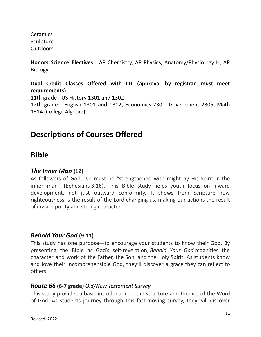**Ceramics Sculpture Outdoors** 

**Honors Science Electives:** AP Chemistry, AP Physics, Anatomy/Physiology H, AP Biology

**Dual Credit Classes Offered with LIT (approval by registrar, must meet requirements)**: 11th grade - US History 1301 and 1302 12th grade - English 1301 and 1302; Economics 2301; Government 2305; Math 1314 (College Algebra)

# **Descriptions of Courses Offered**

# **Bible**

### *The Inner Man* **(12)**

As followers of God, we must be "strengthened with might by His Spirit in the inner man" (Ephesians 3:16). This Bible study helps youth focus on inward development, not just outward conformity. It shows from Scripture how righteousness is the result of the Lord changing us, making our actions the result of inward purity and strong character

### *Behold Your God* **(9-11)**

This study has one purpose—to encourage your students to know their God. By presenting the Bible as God's self-revelation, *Behold Your God* magnifies the character and work of the Father, the Son, and the Holy Spirit. As students know and love their incomprehensible God, they'll discover a grace they can reflect to others.

#### *Route 66* **(6-7 grade)** *Old/New Testament Survey*

This study provides a basic introduction to the structure and themes of the Word of God. As students journey through this fast-moving survey, they will discover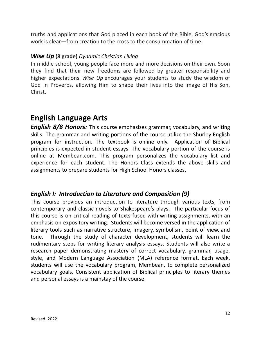truths and applications that God placed in each book of the Bible. God's gracious work is clear—from creation to the cross to the consummation of time.

#### *Wise Up* **(8 grade)** *Dynamic Christian Living*

In middle school, young people face more and more decisions on their own. Soon they find that their new freedoms are followed by greater responsibility and higher expectations. *Wise Up* encourages your students to study the wisdom of God in Proverbs, allowing Him to shape their lives into the image of His Son, Christ.

# **English Language Arts**

*English 8/8 Honors:* This course emphasizes grammar, vocabulary, and writing skills. The grammar and writing portions of the course utilize the Shurley English program for instruction. The textbook is online only. Application of Biblical principles is expected in student essays. The vocabulary portion of the course is online at Membean.com. This program personalizes the vocabulary list and experience for each student. The Honors Class extends the above skills and assignments to prepare students for High School Honors classes.

### *English I: Introduction to Literature and Composition (9)*

This course provides an introduction to literature through various texts, from contemporary and classic novels to Shakespeare's plays. The particular focus of this course is on critical reading of texts fused with writing assignments, with an emphasis on expository writing. Students will become versed in the application of literary tools such as narrative structure, imagery, symbolism, point of view, and tone. Through the study of character development, students will learn the rudimentary steps for writing literary analysis essays. Students will also write a research paper demonstrating mastery of correct vocabulary, grammar, usage, style, and Modern Language Association (MLA) reference format. Each week, students will use the vocabulary program, Membean, to complete personalized vocabulary goals. Consistent application of Biblical principles to literary themes and personal essays is a mainstay of the course.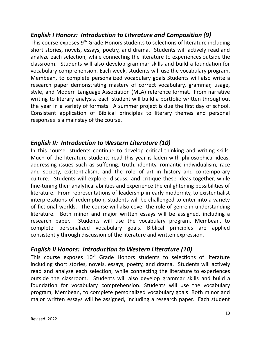### *English I Honors: Introduction to Literature and Composition (9)*

This course exposes 9<sup>th</sup> Grade Honors students to selections of literature including short stories, novels, essays, poetry, and drama. Students will actively read and analyze each selection, while connecting the literature to experiences outside the classroom. Students will also develop grammar skills and build a foundation for vocabulary comprehension. Each week, students will use the vocabulary program, Membean, to complete personalized vocabulary goals Students will also write a research paper demonstrating mastery of correct vocabulary, grammar, usage, style, and Modern Language Association (MLA) reference format. From narrative writing to literary analysis, each student will build a portfolio written throughout the year in a variety of formats. A summer project is due the first day of school. Consistent application of Biblical principles to literary themes and personal responses is a mainstay of the course.

### *English II: Introduction to Western Literature (10)*

In this course, students continue to develop critical thinking and writing skills. Much of the literature students read this year is laden with philosophical ideas, addressing issues such as suffering, truth, identity, romantic individualism, race and society, existentialism, and the role of art in history and contemporary culture. Students will explore, discuss, and critique these ideas together, while fine-tuning their analytical abilities and experience the enlightening possibilities of literature. From representations of leadership in early modernity, to existentialist interpretations of redemption, students will be challenged to enter into a variety of fictional worlds. The course will also cover the role of genre in understanding literature. Both minor and major written essays will be assigned, including a research paper. Students will use the vocabulary program, Membean, to complete personalized vocabulary goals. Biblical principles are applied consistently through discussion of the literature and written expression.

### *English II Honors: Introduction to Western Literature (10)*

This course exposes  $10<sup>th</sup>$  Grade Honors students to selections of literature including short stories, novels, essays, poetry, and drama. Students will actively read and analyze each selection, while connecting the literature to experiences outside the classroom. Students will also develop grammar skills and build a foundation for vocabulary comprehension. Students will use the vocabulary program, Membean, to complete personalized vocabulary goals Both minor and major written essays will be assigned, including a research paper. Each student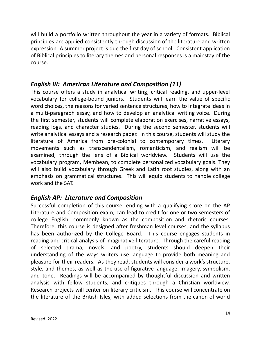will build a portfolio written throughout the year in a variety of formats. Biblical principles are applied consistently through discussion of the literature and written expression. A summer project is due the first day of school. Consistent application of Biblical principles to literary themes and personal responses is a mainstay of the course.

#### *English III: American Literature and Composition (11)*

This course offers a study in analytical writing, critical reading, and upper-level vocabulary for college-bound juniors. Students will learn the value of specific word choices, the reasons for varied sentence structures, how to integrate ideas in a multi-paragraph essay, and how to develop an analytical writing voice. During the first semester, students will complete elaboration exercises, narrative essays, reading logs, and character studies. During the second semester, students will write analytical essays and a research paper. In this course, students will study the literature of America from pre-colonial to contemporary times. Literary movements such as transcendentalism, romanticism, and realism will be examined, through the lens of a Biblical worldview. Students will use the vocabulary program, Membean, to complete personalized vocabulary goals. They will also build vocabulary through Greek and Latin root studies, along with an emphasis on grammatical structures. This will equip students to handle college work and the SAT.

### *English AP: Literature and Composition*

Successful completion of this course, ending with a qualifying score on the AP Literature and Composition exam, can lead to credit for one or two semesters of college English, commonly known as the composition and rhetoric courses. Therefore, this course is designed after freshman level courses, and the syllabus has been authorized by the College Board. This course engages students in reading and critical analysis of imaginative literature. Through the careful reading of selected drama, novels, and poetry, students should deepen their understanding of the ways writers use language to provide both meaning and pleasure for their readers. As they read, students will consider a work's structure, style, and themes, as well as the use of figurative language, imagery, symbolism, and tone. Readings will be accompanied by thoughtful discussion and written analysis with fellow students, and critiques through a Christian worldview. Research projects will center on literary criticism. This course will concentrate on the literature of the British Isles, with added selections from the canon of world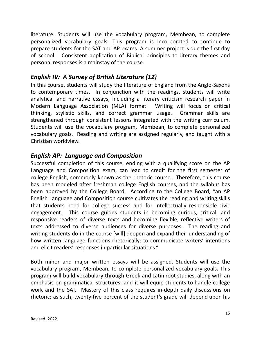literature. Students will use the vocabulary program, Membean, to complete personalized vocabulary goals. This program is incorporated to continue to prepare students for the SAT and AP exams. A summer project is due the first day of school. Consistent application of Biblical principles to literary themes and personal responses is a mainstay of the course.

### *English IV: A Survey of British Literature (12)*

In this course, students will study the literature of England from the Anglo-Saxons to contemporary times. In conjunction with the readings, students will write analytical and narrative essays, including a literary criticism research paper in Modern Language Association (MLA) format. Writing will focus on critical thinking, stylistic skills, and correct grammar usage. Grammar skills are strengthened through consistent lessons integrated with the writing curriculum. Students will use the vocabulary program, Membean, to complete personalized vocabulary goals. Reading and writing are assigned regularly, and taught with a Christian worldview.

### *English AP: Language and Composition*

Successful completion of this course, ending with a qualifying score on the AP Language and Composition exam, can lead to credit for the first semester of college English, commonly known as the rhetoric course. Therefore, this course has been modeled after freshman college English courses, and the syllabus has been approved by the College Board. According to the College Board, "an AP English Language and Composition course cultivates the reading and writing skills that students need for college success and for intellectually responsible civic engagement. This course guides students in becoming curious, critical, and responsive readers of diverse texts and becoming flexible, reflective writers of texts addressed to diverse audiences for diverse purposes. The reading and writing students do in the course [will] deepen and expand their understanding of how written language functions rhetorically: to communicate writers' intentions and elicit readers' responses in particular situations."

Both minor and major written essays will be assigned. Students will use the vocabulary program, Membean, to complete personalized vocabulary goals. This program will build vocabulary through Greek and Latin root studies, along with an emphasis on grammatical structures, and it will equip students to handle college work and the SAT. Mastery of this class requires in-depth daily discussions on rhetoric; as such, twenty-five percent of the student's grade will depend upon his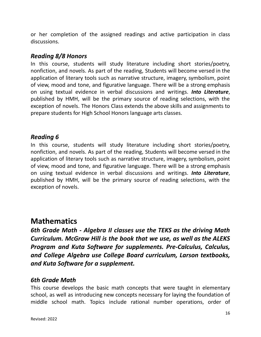or her completion of the assigned readings and active participation in class discussions.

#### *Reading 8/8 Honors*

In this course, students will study literature including short stories/poetry, nonfiction, and novels. As part of the reading, Students will become versed in the application of literary tools such as narrative structure, imagery, symbolism, point of view, mood and tone, and figurative language. There will be a strong emphasis on using textual evidence in verbal discussions and writings. *Into Literature*, published by HMH, will be the primary source of reading selections, with the exception of novels. The Honors Class extends the above skills and assignments to prepare students for High School Honors language arts classes.

#### *Reading 6*

In this course, students will study literature including short stories/poetry, nonfiction, and novels. As part of the reading, Students will become versed in the application of literary tools such as narrative structure, imagery, symbolism, point of view, mood and tone, and figurative language. There will be a strong emphasis on using textual evidence in verbal discussions and writings. *Into Literature*, published by HMH, will be the primary source of reading selections, with the exception of novels.

# **Mathematics**

*6th Grade Math - Algebra II classes use the TEKS as the driving Math Curriculum. McGraw Hill is the book that we use, as well as the ALEKS Program and Kuta Software for supplements. Pre-Calculus, Calculus, and College Algebra use College Board curriculum, Larson textbooks, and Kuta Software for a supplement.*

#### *6th Grade Math*

This course develops the basic math concepts that were taught in elementary school, as well as introducing new concepts necessary for laying the foundation of middle school math. Topics include rational number operations, order of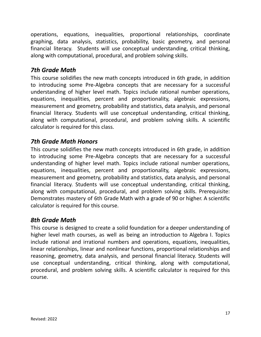operations, equations, inequalities, proportional relationships, coordinate graphing, data analysis, statistics, probability, basic geometry, and personal financial literacy. Students will use conceptual understanding, critical thinking, along with computational, procedural, and problem solving skills.

### *7th Grade Math*

This course solidifies the new math concepts introduced in 6th grade, in addition to introducing some Pre-Algebra concepts that are necessary for a successful understanding of higher level math. Topics include rational number operations, equations, inequalities, percent and proportionality, algebraic expressions, measurement and geometry, probability and statistics, data analysis, and personal financial literacy. Students will use conceptual understanding, critical thinking, along with computational, procedural, and problem solving skills. A scientific calculator is required for this class.

#### *7th Grade Math Honors*

This course solidifies the new math concepts introduced in 6th grade, in addition to introducing some Pre-Algebra concepts that are necessary for a successful understanding of higher level math. Topics include rational number operations, equations, inequalities, percent and proportionality, algebraic expressions, measurement and geometry, probability and statistics, data analysis, and personal financial literacy. Students will use conceptual understanding, critical thinking, along with computational, procedural, and problem solving skills. Prerequisite: Demonstrates mastery of 6th Grade Math with a grade of 90 or higher. A scientific calculator is required for this course.

### *8th Grade Math*

This course is designed to create a solid foundation for a deeper understanding of higher level math courses, as well as being an introduction to Algebra I. Topics include rational and irrational numbers and operations, equations, inequalities, linear relationships, linear and nonlinear functions, proportional relationships and reasoning, geometry, data analysis, and personal financial literacy. Students will use conceptual understanding, critical thinking, along with computational, procedural, and problem solving skills. A scientific calculator is required for this course.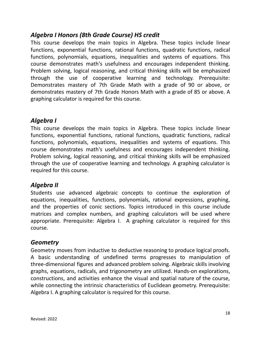## *Algebra I Honors (8th Grade Course) HS credit*

This course develops the main topics in Algebra. These topics include linear functions, exponential functions, rational functions, quadratic functions, radical functions, polynomials, equations, inequalities and systems of equations. This course demonstrates math's usefulness and encourages independent thinking. Problem solving, logical reasoning, and critical thinking skills will be emphasized through the use of cooperative learning and technology. Prerequisite: Demonstrates mastery of 7th Grade Math with a grade of 90 or above, or demonstrates mastery of 7th Grade Honors Math with a grade of 85 or above. A graphing calculator is required for this course.

### *Algebra I*

This course develops the main topics in Algebra. These topics include linear functions, exponential functions, rational functions, quadratic functions, radical functions, polynomials, equations, inequalities and systems of equations. This course demonstrates math's usefulness and encourages independent thinking. Problem solving, logical reasoning, and critical thinking skills will be emphasized through the use of cooperative learning and technology. A graphing calculator is required for this course.

## *Algebra II*

Students use advanced algebraic concepts to continue the exploration of equations, inequalities, functions, polynomials, rational expressions, graphing, and the properties of conic sections. Topics introduced in this course include matrices and complex numbers, and graphing calculators will be used where appropriate. Prerequisite: Algebra I. A graphing calculator is required for this course.

### *Geometry*

Geometry moves from inductive to deductive reasoning to produce logical proofs. A basic understanding of undefined terms progresses to manipulation of three-dimensional figures and advanced problem solving. Algebraic skills involving graphs, equations, radicals, and trigonometry are utilized. Hands-on explorations, constructions, and activities enhance the visual and spatial nature of the course, while connecting the intrinsic characteristics of Euclidean geometry. Prerequisite: Algebra I. A graphing calculator is required for this course.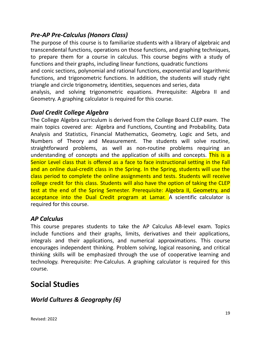# *Pre-AP Pre-Calculus (Honors Class)*

The purpose of this course is to familiarize students with a library of algebraic and transcendental functions, operations on those functions, and graphing techniques, to prepare them for a course in calculus. This course begins with a study of functions and their graphs, including linear functions, quadratic functions and conic sections, polynomial and rational functions, exponential and logarithmic functions, and trigonometric functions. In addition, the students will study right triangle and circle trigonometry, identities, sequences and series, data analysis, and solving trigonometric equations. Prerequisite: Algebra II and Geometry. A graphing calculator is required for this course.

### *Dual Credit College Algebra*

The College Algebra curriculum is derived from the College Board CLEP exam. The main topics covered are: Algebra and Functions, Counting and Probability, Data Analysis and Statistics, Financial Mathematics, Geometry, Logic and Sets, and Numbers of Theory and Measurement. The students will solve routine, straightforward problems, as well as non-routine problems requiring an understanding of concepts and the application of skills and concepts. This is a Senior Level class that is offered as a face to face instructional setting in the Fall and an online dual-credit class in the Spring. In the Spring, students will use the class period to complete the online assignments and tests. Students will receive college credit for this class. Students will also have the option of taking the CLEP test at the end of the Spring Semester. Prerequisite: Algebra II, Geometry, and acceptance into the Dual Credit program at Lamar. A scientific calculator is required for this course.

### *AP Calculus*

This course prepares students to take the AP Calculus AB-level exam. Topics include functions and their graphs, limits, derivatives and their applications, integrals and their applications, and numerical approximations. This course encourages independent thinking. Problem solving, logical reasoning, and critical thinking skills will be emphasized through the use of cooperative learning and technology. Prerequisite: Pre-Calculus. A graphing calculator is required for this course.

# **Social Studies**

# *World Cultures & Geography (6)*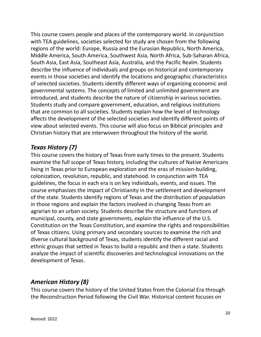This course covers people and places of the contemporary world. In conjunction with TEA guidelines, societies selected for study are chosen from the following regions of the world: Europe, Russia and the Eurasian Republics, North America, Middle America, South America, Southwest Asia, North Africa, Sub-Saharan Africa, South Asia, East Asia, Southeast Asia, Australia, and the Pacific Realm. Students describe the influence of individuals and groups on historical and contemporary events in those societies and identify the locations and geographic characteristics of selected societies. Students identify different ways of organizing economic and governmental systems. The concepts of limited and unlimited government are introduced, and students describe the nature of citizenship in various societies. Students study and compare government, education, and religious institutions that are common to all societies. Students explain how the level of technology affects the development of the selected societies and identify different points of view about selected events. This course will also focus on Biblical principles and Christian history that are interwoven throughout the history of the world.

### *Texas History (7)*

This course covers the history of Texas from early times to the present. Students examine the full scope of Texas history, including the cultures of Native Americans living in Texas prior to European exploration and the eras of mission-building, colonization, revolution, republic, and statehood. In conjunction with TEA guidelines, the focus in each era is on key individuals, events, and issues. The course emphasizes the impact of Christianity in the settlement and development of the state. Students identify regions of Texas and the distribution of population in those regions and explain the factors involved in changing Texas from an agrarian to an urban society. Students describe the structure and functions of municipal, county, and state governments, explain the influence of the U.S. Constitution on the Texas Constitution, and examine the rights and responsibilities of Texas citizens. Using primary and secondary sources to examine the rich and diverse cultural background of Texas, students identify the different racial and ethnic groups that settled in Texas to build a republic and then a state. Students analyze the impact of scientific discoveries and technological innovations on the development of Texas.

### *American History (8)*

This course covers the history of the United States from the Colonial Era through the Reconstruction Period following the Civil War. Historical content focuses on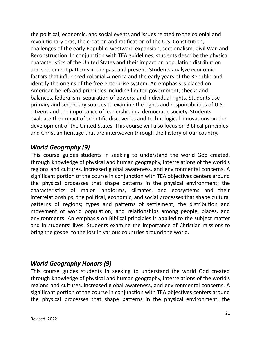the political, economic, and social events and issues related to the colonial and revolutionary eras, the creation and ratification of the U.S. Constitution, challenges of the early Republic, westward expansion, sectionalism, Civil War, and Reconstruction. In conjunction with TEA guidelines, students describe the physical characteristics of the United States and their impact on population distribution and settlement patterns in the past and present. Students analyze economic factors that influenced colonial America and the early years of the Republic and identify the origins of the free enterprise system. An emphasis is placed on American beliefs and principles including limited government, checks and balances, federalism, separation of powers, and individual rights. Students use primary and secondary sources to examine the rights and responsibilities of U.S. citizens and the importance of leadership in a democratic society. Students evaluate the impact of scientific discoveries and technological innovations on the development of the United States. This course will also focus on Biblical principles and Christian heritage that are interwoven through the history of our country.

### *World Geography (9)*

This course guides students in seeking to understand the world God created, through knowledge of physical and human geography, interrelations of the world's regions and cultures, increased global awareness, and environmental concerns. A significant portion of the course in conjunction with TEA objectives centers around the physical processes that shape patterns in the physical environment; the characteristics of major landforms, climates, and ecosystems and their interrelationships; the political, economic, and social processes that shape cultural patterns of regions; types and patterns of settlement; the distribution and movement of world population; and relationships among people, places, and environments. An emphasis on Biblical principles is applied to the subject matter and in students' lives. Students examine the importance of Christian missions to bring the gospel to the lost in various countries around the world.

### *World Geography Honors (9)*

This course guides students in seeking to understand the world God created through knowledge of physical and human geography, interrelations of the world's regions and cultures, increased global awareness, and environmental concerns. A significant portion of the course in conjunction with TEA objectives centers around the physical processes that shape patterns in the physical environment; the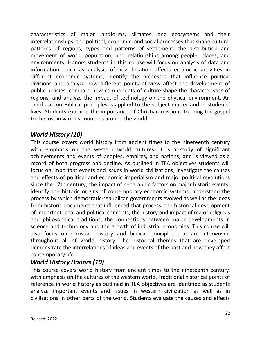characteristics of major landforms, climates, and ecosystems and their interrelationships; the political, economic, and social processes that shape cultural patterns of regions; types and patterns of settlement; the distribution and movement of world population; and relationships among people, places, and environments. Honors students in this course will focus on analysis of data and information, such as analysis of how location affects economic activities in different economic systems, identify the processes that influence political divisions and analyze how different points of view affect the development of public policies, compare how components of culture shape the characteristics of regions, and analyze the impact of technology on the physical environment. An emphasis on Biblical principles is applied to the subject matter and in students' lives. Students examine the importance of Christian missions to bring the gospel to the lost in various countries around the world.

# *World History (10)*

This course covers world history from ancient times to the nineteenth century with emphasis on the western world cultures. It is a study of significant achievements and events of peoples, empires, and nations, and is viewed as a record of both progress and decline. As outlined in TEA objectives students will focus on important events and issues in world civilizations; investigate the causes and effects of political and economic imperialism and major political revolutions since the 17th century; the impact of geographic factors on major historic events; identify the historic origins of contemporary economic systems; understand the process by which democratic-republican governments evolved as well as the ideas from historic documents that influenced that process; the historical development of important legal and political concepts; the history and impact of major religious and philosophical traditions; the connections between major developments in science and technology and the growth of industrial economies. This course will also focus on Christian history and biblical principles that are interwoven throughout all of world history. The historical themes that are developed demonstrate the interrelations of ideas and events of the past and how they affect contemporary life.

# *World History Honors (10)*

This course covers world history from ancient times to the nineteenth century, with emphasis on the cultures of the western world. Traditional historical points of reference in world history as outlined in TEA objectives are identified as students analyze important events and issues in western civilization as well as in civilizations in other parts of the world. Students evaluate the causes and effects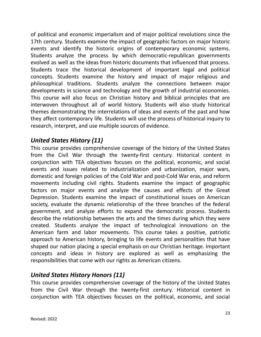of political and economic imperialism and of major political revolutions since the 17th century. Students examine the impact of geographic factors on major historic events and identify the historic origins of contemporary economic systems. Students analyze the process by which democratic-republican governments evolved as well as the ideas from historic documents that influenced that process. Students trace the historical development of important legal and political concepts. Students examine the history and impact of major religious and philosophical traditions. Students analyze the connections between major developments in science and technology and the growth of industrial economies. This course will also focus on Christian history and biblical principles that are interwoven throughout all of world history. Students will also study historical themes demonstrating the interrelations of ideas and events of the past and how they affect contemporary life. Students will use the process of historical inquiry to research, interpret, and use multiple sources of evidence.

## *United States History (11)*

This course provides comprehensive coverage of the history of the United States from the Civil War through the twenty-first century. Historical content in conjunction with TEA objectives focuses on the political, economic, and social events and issues related to industrialization and urbanization, major wars, domestic and foreign policies of the Cold War and post-Cold War eras, and reform movements including civil rights. Students examine the impact of geographic factors on major events and analyze the causes and effects of the Great Depression. Students examine the impact of constitutional issues on American society, evaluate the dynamic relationship of the three branches of the federal government, and analyze efforts to expand the democratic process. Students describe the relationship between the arts and the times during which they were created. Students analyze the impact of technological innovations on the American farm and labor movements. This course takes a positive, patriotic approach to American history, bringing to life events and personalities that have shaped our nation placing a special emphasis on our Christian heritage. Important concepts and ideas in history are explored as well as emphasizing the responsibilities that come with our rights as American citizens.

# *United States History Honors (11)*

This course provides comprehensive coverage of the history of the United States from the Civil War through the twenty-first century. Historical content in conjunction with TEA objectives focuses on the political, economic, and social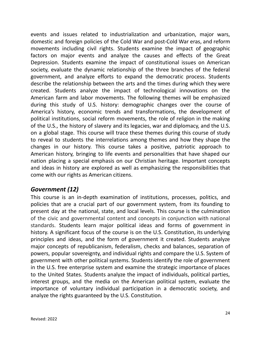events and issues related to industrialization and urbanization, major wars, domestic and foreign policies of the Cold War and post-Cold War eras, and reform movements including civil rights. Students examine the impact of geographic factors on major events and analyze the causes and effects of the Great Depression. Students examine the impact of constitutional issues on American society, evaluate the dynamic relationship of the three branches of the federal government, and analyze efforts to expand the democratic process. Students describe the relationship between the arts and the times during which they were created. Students analyze the impact of technological innovations on the American farm and labor movements. The following themes will be emphasized during this study of U.S. history: demographic changes over the course of America's history, economic trends and transformations, the development of political institutions, social reform movements, the role of religion in the making of the U.S., the history of slavery and its legacies, war and diplomacy, and the U.S. on a global stage. This course will trace these themes during this course of study to reveal to students the interrelations among themes and how they shape the changes in our history. This course takes a positive, patriotic approach to American history, bringing to life events and personalities that have shaped our nation placing a special emphasis on our Christian heritage. Important concepts and ideas in history are explored as well as emphasizing the responsibilities that come with our rights as American citizens.

### *Government (12)*

This course is an in-depth examination of institutions, processes, politics, and policies that are a crucial part of our government system, from its founding to present day at the national, state, and local levels. This course is the culmination of the civic and governmental content and concepts in conjunction with national standards. Students learn major political ideas and forms of government in history. A significant focus of the course is on the U.S. Constitution, its underlying principles and ideas, and the form of government it created. Students analyze major concepts of republicanism, federalism, checks and balances, separation of powers, popular sovereignty, and individual rights and compare the U.S. System of government with other political systems. Students identify the role of government in the U.S. free enterprise system and examine the strategic importance of places to the United States. Students analyze the impact of individuals, political parties, interest groups, and the media on the American political system, evaluate the importance of voluntary individual participation in a democratic society, and analyze the rights guaranteed by the U.S. Constitution.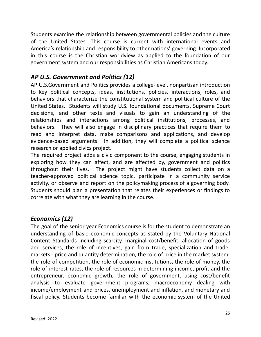Students examine the relationship between governmental policies and the culture of the United States. This course is current with international events and America's relationship and responsibility to other nations' governing. Incorporated in this course is the Christian worldview as applied to the foundation of our government system and our responsibilities as Christian Americans today.

### *AP U.S. Government and Politics (12)*

AP U.S.Government and Politics provides a college-level, nonpartisan introduction to key political concepts, ideas, institutions, policies, interactions, roles, and behaviors that characterize the constitutional system and political culture of the United States. Students will study U.S. foundational documents, Supreme Court decisions, and other texts and visuals to gain an understanding of the relationships and interactions among political institutions, processes, and behaviors. They will also engage in disciplinary practices that require them to read and interpret data, make comparisons and applications, and develop evidence-based arguments. In addition, they will complete a political science research or applied civics project.

The required project adds a civic component to the course, engaging students in exploring how they can affect, and are affected by, government and politics throughout their lives. The project might have students collect data on a teacher-approved political science topic, participate in a community service activity, or observe and report on the policymaking process of a governing body. Students should plan a presentation that relates their experiences or findings to correlate with what they are learning in the course.

## *Economics (12)*

The goal of the senior year Economics course is for the student to demonstrate an understanding of basic economic concepts as stated by the Voluntary National Content Standards including scarcity, marginal cost/benefit, allocation of goods and services, the role of incentives, gain from trade, specialization and trade, markets - price and quantity determination, the role of price in the market system, the role of competition, the role of economic institutions, the role of money, the role of interest rates, the role of resources in determining income, profit and the entrepreneur, economic growth, the role of government, using cost/benefit analysis to evaluate government programs, macroeconomy dealing with income/employment and prices, unemployment and inflation, and monetary and fiscal policy. Students become familiar with the economic system of the United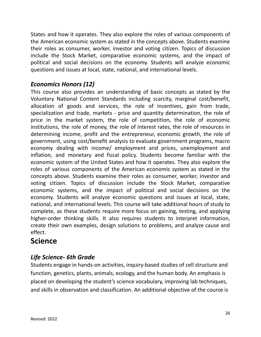States and how it operates. They also explore the roles of various components of the American economic system as stated in the concepts above. Students examine their roles as consumer, worker, investor and voting citizen. Topics of discussion include the Stock Market, comparative economic systems, and the impact of political and social decisions on the economy. Students will analyze economic questions and issues at local, state, national, and international levels.

# *Economics Honors (12)*

This course also provides an understanding of basic concepts as stated by the Voluntary National Content Standards including scarcity, marginal cost/benefit, allocation of goods and services, the role of incentives, gain from trade, specialization and trade, markets - price and quantity determination, the role of price in the market system, the role of competition, the role of economic institutions, the role of money, the role of interest rates, the role of resources in determining income, profit and the entrepreneur, economic growth, the role of government, using cost/benefit analysis to evaluate government programs, macro economy dealing with income/ employment and prices, unemployment and inflation, and monetary and fiscal policy. Students become familiar with the economic system of the United States and how it operates. They also explore the roles of various components of the American economic system as stated in the concepts above. Students examine their roles as consumer, worker, investor and voting citizen. Topics of discussion include the Stock Market, comparative economic systems, and the impact of political and social decisions on the economy. Students will analyze economic questions and issues at local, state, national, and international levels. This course will take additional hours of study to complete, as these students require more focus on gaining, testing, and applying higher-order thinking skills. It also requires students to interpret information, create their own examples, design solutions to problems, and analyze cause and effect.

# **Science**

# *Life Science- 6th Grade*

Students engage in hands-on activities, inquiry-based studies of cell structure and function, genetics, plants, animals, ecology, and the human body. An emphasis is placed on developing the student's science vocabulary, improving lab techniques, and skills in observation and classification. An additional objective of the course is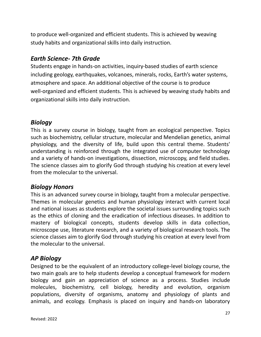to produce well-organized and efficient students. This is achieved by weaving study habits and organizational skills into daily instruction.

### *Earth Science- 7th Grade*

Students engage in hands-on activities, inquiry-based studies of earth science including geology, earthquakes, volcanoes, minerals, rocks, Earth's water systems, atmosphere and space. An additional objective of the course is to produce well-organized and efficient students. This is achieved by weaving study habits and organizational skills into daily instruction.

### *Biology*

This is a survey course in biology, taught from an ecological perspective. Topics such as biochemistry, cellular structure, molecular and Mendelian genetics, animal physiology, and the diversity of life, build upon this central theme. Students' understanding is reinforced through the integrated use of computer technology and a variety of hands-on investigations, dissection, microscopy, and field studies. The science classes aim to glorify God through studying his creation at every level from the molecular to the universal.

### *Biology Honors*

This is an advanced survey course in biology, taught from a molecular perspective. Themes in molecular genetics and human physiology interact with current local and national issues as students explore the societal issues surrounding topics such as the ethics of cloning and the eradication of infectious diseases. In addition to mastery of biological concepts, students develop skills in data collection, microscope use, literature research, and a variety of biological research tools. The science classes aim to glorify God through studying his creation at every level from the molecular to the universal.

### *AP Biology*

Designed to be the equivalent of an introductory college-level biology course, the two main goals are to help students develop a conceptual framework for modern biology and gain an appreciation of science as a process. Studies include molecules, biochemistry, cell biology, heredity and evolution, organism populations, diversity of organisms, anatomy and physiology of plants and animals, and ecology. Emphasis is placed on inquiry and hands-on laboratory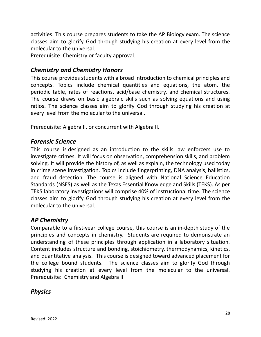activities. This course prepares students to take the AP Biology exam. The science classes aim to glorify God through studying his creation at every level from the molecular to the universal.

Prerequisite: Chemistry or faculty approval.

#### *Chemistry and Chemistry Honors*

This course provides students with a broad introduction to chemical principles and concepts. Topics include chemical quantities and equations, the atom, the periodic table, rates of reactions, acid/base chemistry, and chemical structures. The course draws on basic algebraic skills such as solving equations and using ratios. The science classes aim to glorify God through studying his creation at every level from the molecular to the universal.

Prerequisite: Algebra II, or concurrent with Algebra II.

#### *Forensic Science*

This course is designed as an introduction to the skills law enforcers use to investigate crimes. It will focus on observation, comprehension skills, and problem solving. It will provide the history of, as well as explain, the technology used today in crime scene investigation. Topics include fingerprinting, DNA analysis, ballistics, and fraud detection. The course is aligned with National Science Education Standards (NSES) as well as the Texas Essential Knowledge and Skills (TEKS). As per TEKS laboratory investigations will comprise 40% of instructional time. The science classes aim to glorify God through studying his creation at every level from the molecular to the universal.

#### *AP Chemistry*

Comparable to a first-year college course, this course is an in-depth study of the principles and concepts in chemistry. Students are required to demonstrate an understanding of these principles through application in a laboratory situation. Content includes structure and bonding, stoichiometry, thermodynamics, kinetics, and quantitative analysis. This course is designed toward advanced placement for the college bound students. The science classes aim to glorify God through studying his creation at every level from the molecular to the universal. Prerequisite: Chemistry and Algebra II

#### *Physics*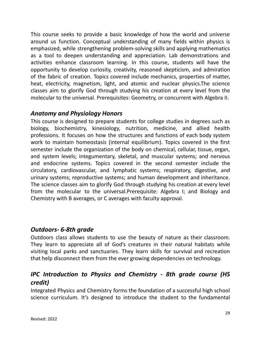This course seeks to provide a basic knowledge of how the world and universe around us function. Conceptual understanding of many fields within physics is emphasized, while strengthening problem-solving skills and applying mathematics as a tool to deepen understanding and appreciation. Lab demonstrations and activities enhance classroom learning. In this course, students will have the opportunity to develop curiosity, creativity, reasoned skepticism, and admiration of the fabric of creation. Topics covered include mechanics, properties of matter, heat, electricity, magnetism, light, and atomic and nuclear physics.The science classes aim to glorify God through studying his creation at every level from the molecular to the universal. Prerequisites: Geometry, or concurrent with Algebra II.

#### *Anatomy and Physiology Honors*

This course is designed to prepare students for college studies in degrees such as biology, biochemistry, kinesiology, nutrition, medicine, and allied health professions. It focuses on how the structures and functions of each body system work to maintain homeostasis (internal equilibrium). Topics covered in the first semester include the organization of the body on chemical, cellular, tissue, organ, and system levels; integumentary, skeletal, and muscular systems; and nervous and endocrine systems. Topics covered in the second semester include the circulatory, cardiovascular, and lymphatic systems; respiratory, digestive, and urinary systems; reproductive systems; and human development and inheritance. The science classes aim to glorify God through studying his creation at every level from the molecular to the universal.Prerequisite: Algebra I; and Biology and Chemistry with B averages, or C averages with faculty approval.

#### *Outdoors- 6-8th grade*

Outdoors class allows students to use the beauty of nature as their classroom. They learn to appreciate all of God's creatures in their natural habitats while visiting local parks and sanctuaries. They learn skills for survival and recreation that help disconnect them from the ever growing dependencies on technology.

# *IPC Introduction to Physics and Chemistry - 8th grade course (HS credit)*

Integrated Physics and Chemistry forms the foundation of a successful high school science curriculum. It's designed to introduce the student to the fundamental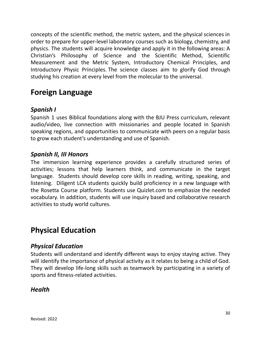concepts of the scientific method, the metric system, and the physical sciences in order to prepare for upper-level laboratory courses such as biology, chemistry, and physics. The students will acquire knowledge and apply it in the following areas: A Christian's Philosophy of Science and the Scientific Method, Scientific Measurement and the Metric System, Introductory Chemical Principles, and Introductory Physic Principles. The science classes aim to glorify God through studying his creation at every level from the molecular to the universal.

# **Foreign Language**

## *Spanish I*

Spanish 1 uses Biblical foundations along with the BJU Press curriculum, relevant audio/video, live connection with missionaries and people located in Spanish speaking regions, and opportunities to communicate with peers on a regular basis to grow each student's understanding and use of Spanish.

### *Spanish II, III Honors*

The immersion learning experience provides a carefully structured series of activities; lessons that help learners think, and communicate in the target language. Students should develop core skills in reading, writing, speaking, and listening. Diligent LCA students quickly build proficiency in a new language with the Rosetta Course platform. Students use Quizlet.com to emphasize the needed vocabulary. In addition, students will use inquiry based and collaborative research activities to study world cultures.

# **Physical Education**

### *Physical Education*

Students will understand and identify different ways to enjoy staying active. They will identify the importance of physical activity as it relates to being a child of God. They will develop life-long skills such as teamwork by participating in a variety of sports and fitness-related activities.

### *Health*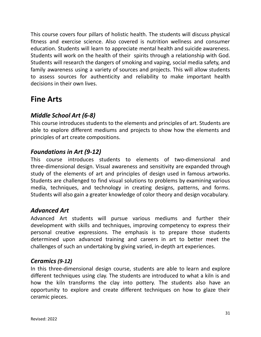This course covers four pillars of holistic health. The students will discuss physical fitness and exercise science. Also covered is nutrition wellness and consumer education. Students will learn to appreciate mental health and suicide awareness. Students will work on the health of their spirits through a relationship with God. Students will research the dangers of smoking and vaping, social media safety, and family awareness using a variety of sources and projects. This will allow students to assess sources for authenticity and reliability to make important health decisions in their own lives.

# **Fine Arts**

# *Middle School Art (6-8)*

This course introduces students to the elements and principles of art. Students are able to explore different mediums and projects to show how the elements and principles of art create compositions.

### *Foundations in Art (9-12)*

This course introduces students to elements of two-dimensional and three-dimensional design. Visual awareness and sensitivity are expanded through study of the elements of art and principles of design used in famous artworks. Students are challenged to find visual solutions to problems by examining various media, techniques, and technology in creating designs, patterns, and forms. Students will also gain a greater knowledge of color theory and design vocabulary.

### *Advanced Art*

Advanced Art students will pursue various mediums and further their development with skills and techniques, improving competency to express their personal creative expressions. The emphasis is to prepare those students determined upon advanced training and careers in art to better meet the challenges of such an undertaking by giving varied, in-depth art experiences.

#### *Ceramics (9-12)*

In this three-dimensional design course, students are able to learn and explore different techniques using clay. The students are introduced to what a kiln is and how the kiln transforms the clay into pottery. The students also have an opportunity to explore and create different techniques on how to glaze their ceramic pieces.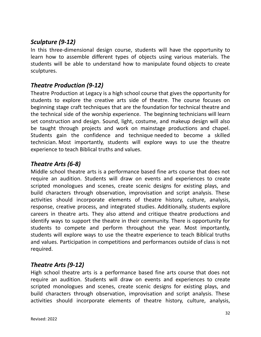# *Sculpture (9-12)*

In this three-dimensional design course, students will have the opportunity to learn how to assemble different types of objects using various materials. The students will be able to understand how to manipulate found objects to create sculptures.

### *Theatre Production (9-12)*

Theatre Production at Legacy is a high school course that gives the opportunity for students to explore the creative arts side of theatre. The course focuses on beginning stage craft techniques that are the foundation for technical theatre and the technical side of the worship experience. The beginning technicians will learn set construction and design. Sound, light, costume, and makeup design will also be taught through projects and work on mainstage productions and chapel. Students gain the confidence and technique needed to become a skilled technician. Most importantly, students will explore ways to use the theatre experience to teach Biblical truths and values.

# *Theatre Arts (6-8)*

Middle school theatre arts is a performance based fine arts course that does not require an audition. Students will draw on events and experiences to create scripted monologues and scenes, create scenic designs for existing plays, and build characters through observation, improvisation and script analysis. These activities should incorporate elements of theatre history, culture, analysis, response, creative process, and integrated studies. Additionally, students explore careers in theatre arts. They also attend and critique theatre productions and identify ways to support the theatre in their community. There is opportunity for students to compete and perform throughout the year. Most importantly, students will explore ways to use the theatre experience to teach Biblical truths and values. Participation in competitions and performances outside of class is not required.

## *Theatre Arts (9-12)*

High school theatre arts is a performance based fine arts course that does not require an audition. Students will draw on events and experiences to create scripted monologues and scenes, create scenic designs for existing plays, and build characters through observation, improvisation and script analysis. These activities should incorporate elements of theatre history, culture, analysis,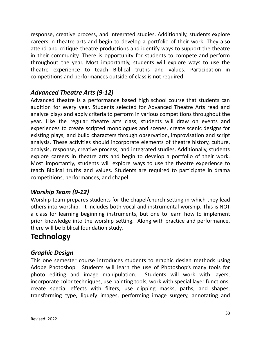response, creative process, and integrated studies. Additionally, students explore careers in theatre arts and begin to develop a portfolio of their work. They also attend and critique theatre productions and identify ways to support the theatre in their community. There is opportunity for students to compete and perform throughout the year. Most importantly, students will explore ways to use the theatre experience to teach Biblical truths and values. Participation in competitions and performances outside of class is not required.

## *Advanced Theatre Arts (9-12)*

Advanced theatre is a performance based high school course that students can audition for every year. Students selected for Advanced Theatre Arts read and analyze plays and apply criteria to perform in various competitions throughout the year. Like the regular theatre arts class, students will draw on events and experiences to create scripted monologues and scenes, create scenic designs for existing plays, and build characters through observation, improvisation and script analysis. These activities should incorporate elements of theatre history, culture, analysis, response, creative process, and integrated studies. Additionally, students explore careers in theatre arts and begin to develop a portfolio of their work. Most importantly, students will explore ways to use the theatre experience to teach Biblical truths and values. Students are required to participate in drama competitions, performances, and chapel.

## *Worship Team (9-12)*

Worship team prepares students for the chapel/church setting in which they lead others into worship. It includes both vocal and instrumental worship. This is NOT a class for learning beginning instruments, but one to learn how to implement prior knowledge into the worship setting. Along with practice and performance, there will be biblical foundation study.

# **Technology**

### *Graphic Design*

This one semester course introduces students to graphic design methods using Adobe Photoshop. Students will learn the use of Photoshop's many tools for photo editing and image manipulation. Students will work with layers, incorporate color techniques, use painting tools, work with special layer functions, create special effects with filters, use clipping masks, paths, and shapes, transforming type, liquefy images, performing image surgery, annotating and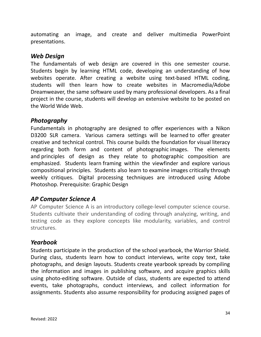automating an image, and create and deliver multimedia PowerPoint presentations.

#### *Web Design*

The fundamentals of web design are covered in this one semester course. Students begin by learning HTML code, developing an understanding of how websites operate. After creating a website using text-based HTML coding, students will then learn how to create websites in Macromedia/Adobe Dreamweaver, the same software used by many professional developers. As a final project in the course, students will develop an extensive website to be posted on the World Wide Web.

#### *Photography*

Fundamentals in photography are designed to offer experiences with a Nikon D3200 SLR camera. Various camera settings will be learned to offer greater creative and technical control. This course builds the foundation for visual literacy regarding both form and content of photographic images. The elements and principles of design as they relate to photographic composition are emphasized. Students learn framing within the viewfinder and explore various compositional principles. Students also learn to examine images critically through weekly critiques. Digital processing techniques are introduced using Adobe Photoshop. Prerequisite: Graphic Design

### *AP Computer Science A*

AP Computer Science A is an introductory college-level computer science course. Students cultivate their understanding of coding through analyzing, writing, and testing code as they explore concepts like modularity, variables, and control structures.

#### *Yearbook*

Students participate in the production of the school yearbook, the Warrior Shield. During class, students learn how to conduct interviews, write copy text, take photographs, and design layouts. Students create yearbook spreads by compiling the information and images in publishing software, and acquire graphics skills using photo-editing software. Outside of class, students are expected to attend events, take photographs, conduct interviews, and collect information for assignments. Students also assume responsibility for producing assigned pages of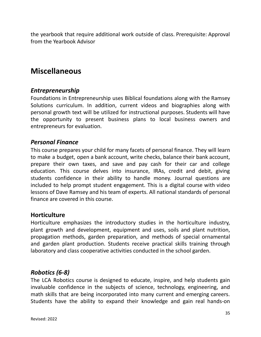the yearbook that require additional work outside of class. Prerequisite: Approval from the Yearbook Advisor

# **Miscellaneous**

#### *Entrepreneurship*

Foundations in Entrepreneurship uses Biblical foundations along with the Ramsey Solutions curriculum. In addition, current videos and biographies along with personal growth text will be utilized for instructional purposes. Students will have the opportunity to present business plans to local business owners and entrepreneurs for evaluation.

#### *Personal Finance*

This course prepares your child for many facets of personal finance. They will learn to make a budget, open a bank account, write checks, balance their bank account, prepare their own taxes, and save and pay cash for their car and college education. This course delves into insurance, IRAs, credit and debit, giving students confidence in their ability to handle money. Journal questions are included to help prompt student engagement. This is a digital course with video lessons of Dave Ramsey and his team of experts. All national standards of personal finance are covered in this course.

#### **Horticulture**

Horticulture emphasizes the introductory studies in the horticulture industry, plant growth and development, equipment and uses, soils and plant nutrition, propagation methods, garden preparation, and methods of special ornamental and garden plant production. Students receive practical skills training through laboratory and class cooperative activities conducted in the school garden.

### *Robotics (6-8)*

The LCA Robotics course is designed to educate, inspire, and help students gain invaluable confidence in the subjects of science, technology, engineering, and math skills that are being incorporated into many current and emerging careers. Students have the ability to expand their knowledge and gain real hands-on